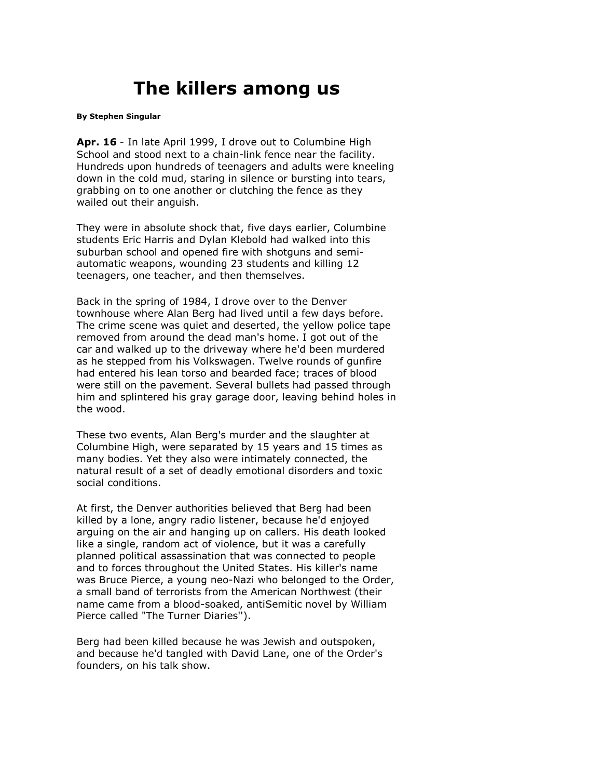## **The killers among us**

## **By [Stephen Singular](mailto:letters@denverpost.com)**

**Apr. 16** - In late April 1999, I drove out to Columbine High School and stood next to a chain-link fence near the facility. Hundreds upon hundreds of teenagers and adults were kneeling down in the cold mud, staring in silence or bursting into tears, grabbing on to one another or clutching the fence as they wailed out their anguish.

They were in absolute shock that, five days earlier, Columbine students Eric Harris and Dylan Klebold had walked into this suburban school and opened fire with shotguns and semiautomatic weapons, wounding 23 students and killing 12 teenagers, one teacher, and then themselves.

Back in the spring of 1984, I drove over to the Denver townhouse where Alan Berg had lived until a few days before. The crime scene was quiet and deserted, the yellow police tape removed from around the dead man's home. I got out of the car and walked up to the driveway where he'd been murdered as he stepped from his Volkswagen. Twelve rounds of gunfire had entered his lean torso and bearded face; traces of blood were still on the pavement. Several bullets had passed through him and splintered his gray garage door, leaving behind holes in the wood.

These two events, Alan Berg's murder and the slaughter at Columbine High, were separated by 15 years and 15 times as many bodies. Yet they also were intimately connected, the natural result of a set of deadly emotional disorders and toxic social conditions.

At first, the Denver authorities believed that Berg had been killed by a lone, angry radio listener, because he'd enjoyed arguing on the air and hanging up on callers. His death looked like a single, random act of violence, but it was a carefully planned political assassination that was connected to people and to forces throughout the United States. His killer's name was Bruce Pierce, a young neo-Nazi who belonged to the Order, a small band of terrorists from the American Northwest (their name came from a blood-soaked, antiSemitic novel by William Pierce called "The Turner Diaries'').

Berg had been killed because he was Jewish and outspoken, and because he'd tangled with David Lane, one of the Order's founders, on his talk show.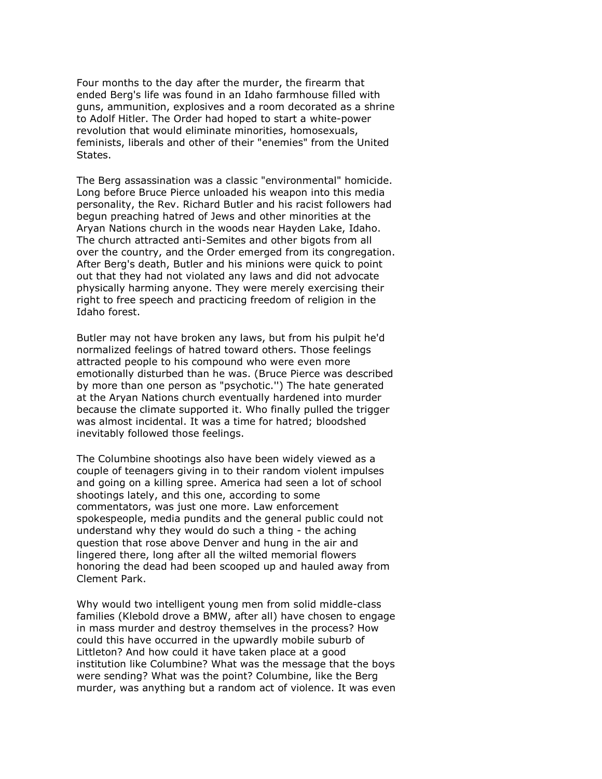Four months to the day after the murder, the firearm that ended Berg's life was found in an Idaho farmhouse filled with guns, ammunition, explosives and a room decorated as a shrine to Adolf Hitler. The Order had hoped to start a white-power revolution that would eliminate minorities, homosexuals, feminists, liberals and other of their "enemies" from the United States.

The Berg assassination was a classic "environmental" homicide. Long before Bruce Pierce unloaded his weapon into this media personality, the Rev. Richard Butler and his racist followers had begun preaching hatred of Jews and other minorities at the Aryan Nations church in the woods near Hayden Lake, Idaho. The church attracted anti-Semites and other bigots from all over the country, and the Order emerged from its congregation. After Berg's death, Butler and his minions were quick to point out that they had not violated any laws and did not advocate physically harming anyone. They were merely exercising their right to free speech and practicing freedom of religion in the Idaho forest.

Butler may not have broken any laws, but from his pulpit he'd normalized feelings of hatred toward others. Those feelings attracted people to his compound who were even more emotionally disturbed than he was. (Bruce Pierce was described by more than one person as "psychotic.'') The hate generated at the Aryan Nations church eventually hardened into murder because the climate supported it. Who finally pulled the trigger was almost incidental. It was a time for hatred; bloodshed inevitably followed those feelings.

The Columbine shootings also have been widely viewed as a couple of teenagers giving in to their random violent impulses and going on a killing spree. America had seen a lot of school shootings lately, and this one, according to some commentators, was just one more. Law enforcement spokespeople, media pundits and the general public could not understand why they would do such a thing - the aching question that rose above Denver and hung in the air and lingered there, long after all the wilted memorial flowers honoring the dead had been scooped up and hauled away from Clement Park.

Why would two intelligent young men from solid middle-class families (Klebold drove a BMW, after all) have chosen to engage in mass murder and destroy themselves in the process? How could this have occurred in the upwardly mobile suburb of Littleton? And how could it have taken place at a good institution like Columbine? What was the message that the boys were sending? What was the point? Columbine, like the Berg murder, was anything but a random act of violence. It was even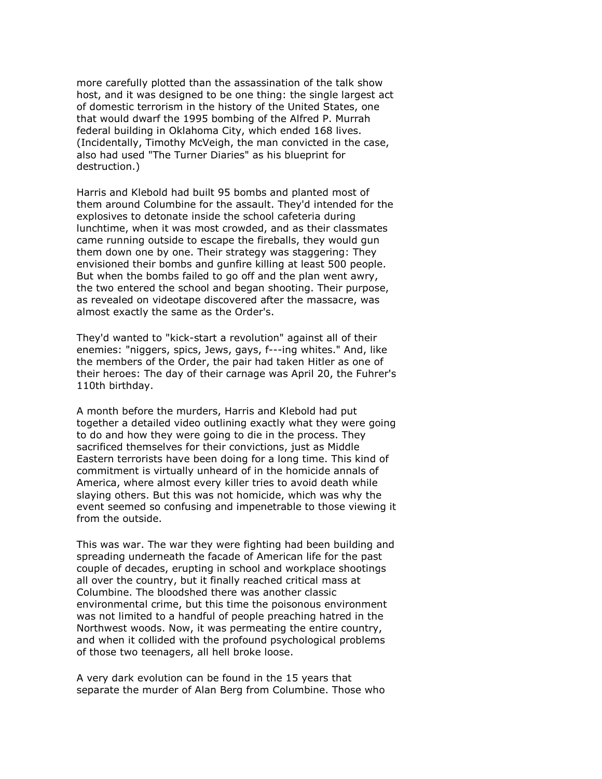more carefully plotted than the assassination of the talk show host, and it was designed to be one thing: the single largest act of domestic terrorism in the history of the United States, one that would dwarf the 1995 bombing of the Alfred P. Murrah federal building in Oklahoma City, which ended 168 lives. (Incidentally, Timothy McVeigh, the man convicted in the case, also had used "The Turner Diaries" as his blueprint for destruction.)

Harris and Klebold had built 95 bombs and planted most of them around Columbine for the assault. They'd intended for the explosives to detonate inside the school cafeteria during lunchtime, when it was most crowded, and as their classmates came running outside to escape the fireballs, they would gun them down one by one. Their strategy was staggering: They envisioned their bombs and gunfire killing at least 500 people. But when the bombs failed to go off and the plan went awry, the two entered the school and began shooting. Their purpose, as revealed on videotape discovered after the massacre, was almost exactly the same as the Order's.

They'd wanted to "kick-start a revolution" against all of their enemies: "niggers, spics, Jews, gays, f---ing whites." And, like the members of the Order, the pair had taken Hitler as one of their heroes: The day of their carnage was April 20, the Fuhrer's 110th birthday.

A month before the murders, Harris and Klebold had put together a detailed video outlining exactly what they were going to do and how they were going to die in the process. They sacrificed themselves for their convictions, just as Middle Eastern terrorists have been doing for a long time. This kind of commitment is virtually unheard of in the homicide annals of America, where almost every killer tries to avoid death while slaying others. But this was not homicide, which was why the event seemed so confusing and impenetrable to those viewing it from the outside.

This was war. The war they were fighting had been building and spreading underneath the facade of American life for the past couple of decades, erupting in school and workplace shootings all over the country, but it finally reached critical mass at Columbine. The bloodshed there was another classic environmental crime, but this time the poisonous environment was not limited to a handful of people preaching hatred in the Northwest woods. Now, it was permeating the entire country, and when it collided with the profound psychological problems of those two teenagers, all hell broke loose.

A very dark evolution can be found in the 15 years that separate the murder of Alan Berg from Columbine. Those who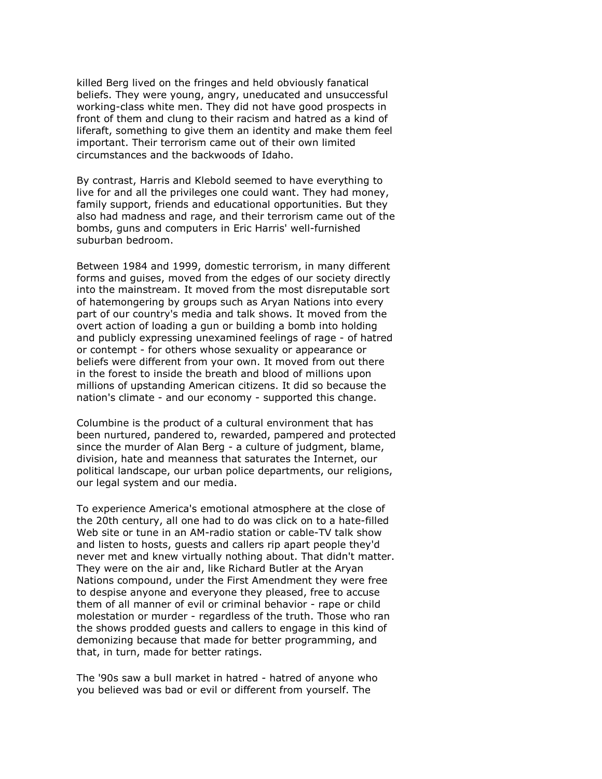killed Berg lived on the fringes and held obviously fanatical beliefs. They were young, angry, uneducated and unsuccessful working-class white men. They did not have good prospects in front of them and clung to their racism and hatred as a kind of liferaft, something to give them an identity and make them feel important. Their terrorism came out of their own limited circumstances and the backwoods of Idaho.

By contrast, Harris and Klebold seemed to have everything to live for and all the privileges one could want. They had money, family support, friends and educational opportunities. But they also had madness and rage, and their terrorism came out of the bombs, guns and computers in Eric Harris' well-furnished suburban bedroom.

Between 1984 and 1999, domestic terrorism, in many different forms and guises, moved from the edges of our society directly into the mainstream. It moved from the most disreputable sort of hatemongering by groups such as Aryan Nations into every part of our country's media and talk shows. It moved from the overt action of loading a gun or building a bomb into holding and publicly expressing unexamined feelings of rage - of hatred or contempt - for others whose sexuality or appearance or beliefs were different from your own. It moved from out there in the forest to inside the breath and blood of millions upon millions of upstanding American citizens. It did so because the nation's climate - and our economy - supported this change.

Columbine is the product of a cultural environment that has been nurtured, pandered to, rewarded, pampered and protected since the murder of Alan Berg - a culture of judgment, blame, division, hate and meanness that saturates the Internet, our political landscape, our urban police departments, our religions, our legal system and our media.

To experience America's emotional atmosphere at the close of the 20th century, all one had to do was click on to a hate-filled Web site or tune in an AM-radio station or cable-TV talk show and listen to hosts, guests and callers rip apart people they'd never met and knew virtually nothing about. That didn't matter. They were on the air and, like Richard Butler at the Aryan Nations compound, under the First Amendment they were free to despise anyone and everyone they pleased, free to accuse them of all manner of evil or criminal behavior - rape or child molestation or murder - regardless of the truth. Those who ran the shows prodded guests and callers to engage in this kind of demonizing because that made for better programming, and that, in turn, made for better ratings.

The '90s saw a bull market in hatred - hatred of anyone who you believed was bad or evil or different from yourself. The